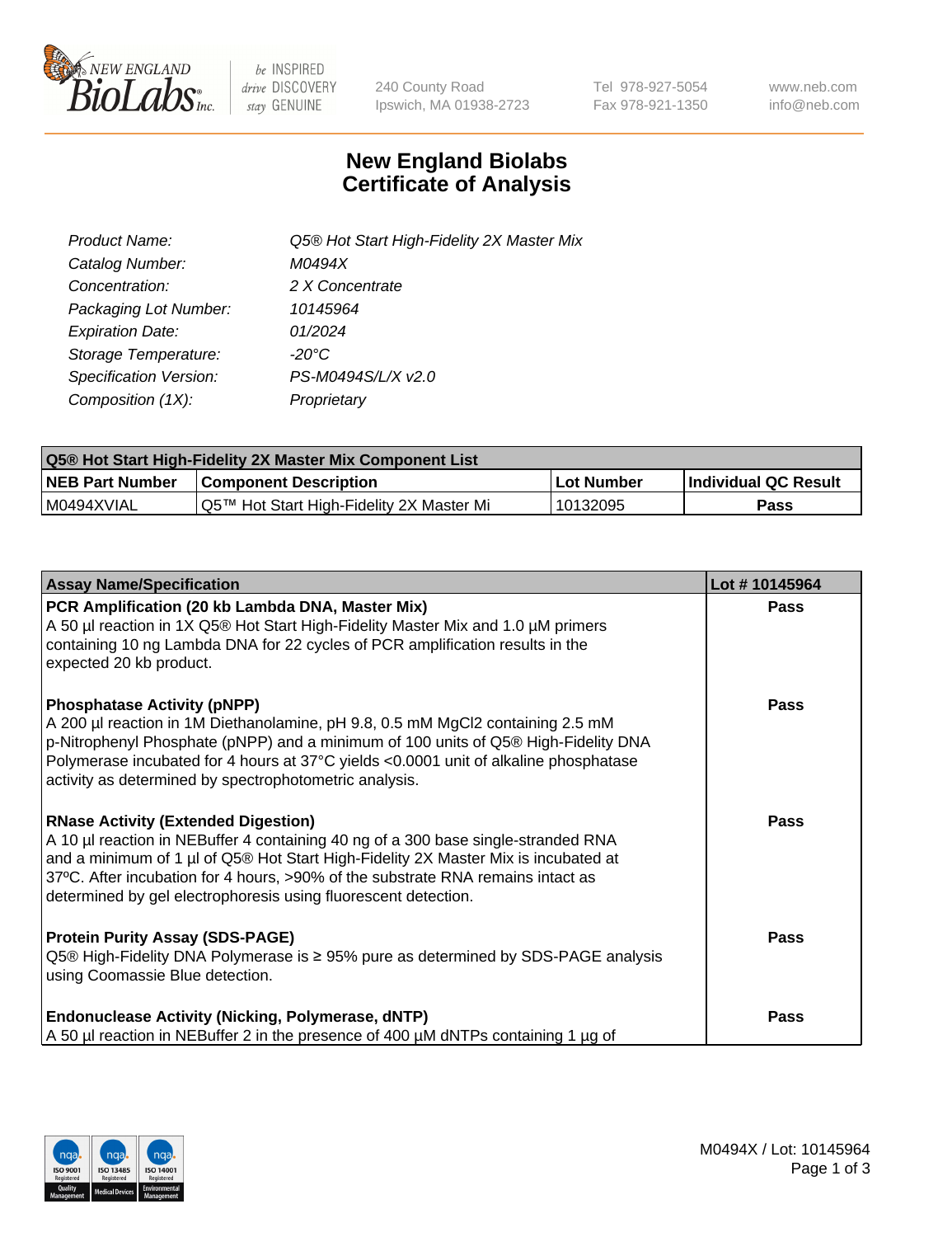

 $be$  INSPIRED drive DISCOVERY stay GENUINE

240 County Road Ipswich, MA 01938-2723 Tel 978-927-5054 Fax 978-921-1350 www.neb.com info@neb.com

## **New England Biolabs Certificate of Analysis**

| Product Name:           | Q5® Hot Start High-Fidelity 2X Master Mix |
|-------------------------|-------------------------------------------|
| Catalog Number:         | M0494X                                    |
| Concentration:          | 2 X Concentrate                           |
| Packaging Lot Number:   | 10145964                                  |
| <b>Expiration Date:</b> | 01/2024                                   |
| Storage Temperature:    | -20°C                                     |
| Specification Version:  | PS-M0494S/L/X v2.0                        |
| Composition (1X):       | Proprietary                               |

| <b>Q5® Hot Start High-Fidelity 2X Master Mix Component List</b> |                                          |            |                             |  |  |
|-----------------------------------------------------------------|------------------------------------------|------------|-----------------------------|--|--|
| <b>NEB Part Number</b>                                          | Component Description                    | Lot Number | <b>Individual QC Result</b> |  |  |
| I M0494XVIAL                                                    | Q5™ Hot Start High-Fidelity 2X Master Mi | 10132095   | Pass                        |  |  |

| <b>Assay Name/Specification</b>                                                                                                                                                                                                                                                                                                                                            | Lot #10145964 |
|----------------------------------------------------------------------------------------------------------------------------------------------------------------------------------------------------------------------------------------------------------------------------------------------------------------------------------------------------------------------------|---------------|
| PCR Amplification (20 kb Lambda DNA, Master Mix)<br>A 50 µl reaction in 1X Q5® Hot Start High-Fidelity Master Mix and 1.0 µM primers<br>containing 10 ng Lambda DNA for 22 cycles of PCR amplification results in the<br>expected 20 kb product.                                                                                                                           | <b>Pass</b>   |
| <b>Phosphatase Activity (pNPP)</b><br>A 200 µl reaction in 1M Diethanolamine, pH 9.8, 0.5 mM MgCl2 containing 2.5 mM<br>p-Nitrophenyl Phosphate (pNPP) and a minimum of 100 units of Q5® High-Fidelity DNA<br>Polymerase incubated for 4 hours at 37°C yields <0.0001 unit of alkaline phosphatase<br>activity as determined by spectrophotometric analysis.               | Pass          |
| <b>RNase Activity (Extended Digestion)</b><br>A 10 µl reaction in NEBuffer 4 containing 40 ng of a 300 base single-stranded RNA<br>and a minimum of 1 µl of Q5® Hot Start High-Fidelity 2X Master Mix is incubated at<br>37°C. After incubation for 4 hours, >90% of the substrate RNA remains intact as<br>determined by gel electrophoresis using fluorescent detection. | Pass          |
| <b>Protein Purity Assay (SDS-PAGE)</b><br>Q5 <sup>®</sup> High-Fidelity DNA Polymerase is ≥ 95% pure as determined by SDS-PAGE analysis<br>using Coomassie Blue detection.                                                                                                                                                                                                 | Pass          |
| <b>Endonuclease Activity (Nicking, Polymerase, dNTP)</b><br>A 50 µl reaction in NEBuffer 2 in the presence of 400 µM dNTPs containing 1 µg of                                                                                                                                                                                                                              | Pass          |

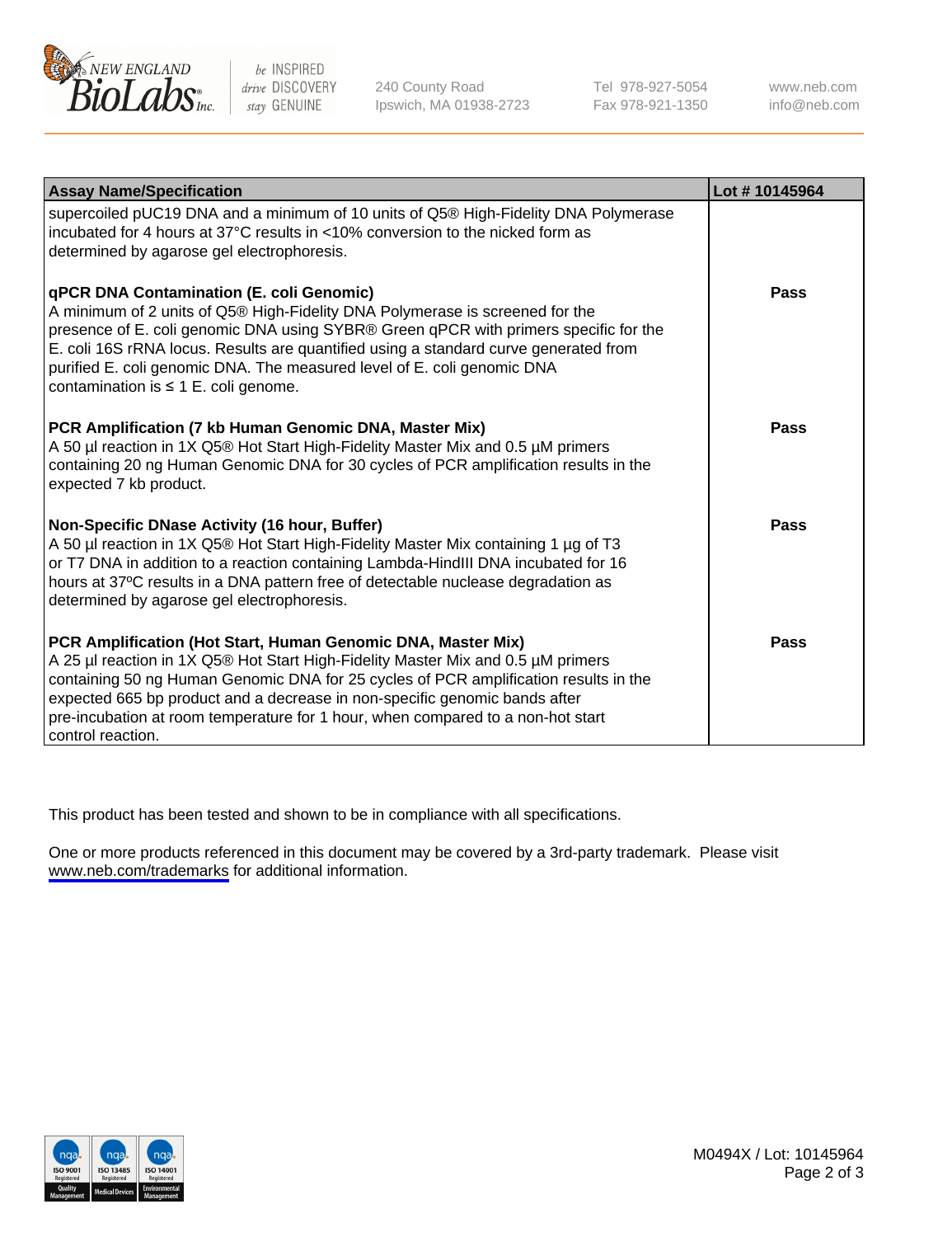

be INSPIRED drive DISCOVERY stay GENUINE

240 County Road Ipswich, MA 01938-2723 Tel 978-927-5054 Fax 978-921-1350

www.neb.com info@neb.com

| <b>Assay Name/Specification</b>                                                                                                                                                                                                                                                                                                                                                                                                         | Lot #10145964 |
|-----------------------------------------------------------------------------------------------------------------------------------------------------------------------------------------------------------------------------------------------------------------------------------------------------------------------------------------------------------------------------------------------------------------------------------------|---------------|
| supercoiled pUC19 DNA and a minimum of 10 units of Q5® High-Fidelity DNA Polymerase<br>incubated for 4 hours at 37°C results in <10% conversion to the nicked form as<br>determined by agarose gel electrophoresis.                                                                                                                                                                                                                     |               |
| <b>qPCR DNA Contamination (E. coli Genomic)</b><br>A minimum of 2 units of Q5® High-Fidelity DNA Polymerase is screened for the<br>presence of E. coli genomic DNA using SYBR® Green qPCR with primers specific for the<br>E. coli 16S rRNA locus. Results are quantified using a standard curve generated from<br>purified E. coli genomic DNA. The measured level of E. coli genomic DNA<br>contamination is $\leq 1$ E. coli genome. | Pass          |
| PCR Amplification (7 kb Human Genomic DNA, Master Mix)<br>A 50 µl reaction in 1X Q5® Hot Start High-Fidelity Master Mix and 0.5 µM primers<br>containing 20 ng Human Genomic DNA for 30 cycles of PCR amplification results in the<br>expected 7 kb product.                                                                                                                                                                            | Pass          |
| Non-Specific DNase Activity (16 hour, Buffer)<br>A 50 µl reaction in 1X Q5® Hot Start High-Fidelity Master Mix containing 1 µg of T3<br>or T7 DNA in addition to a reaction containing Lambda-HindIII DNA incubated for 16<br>hours at 37°C results in a DNA pattern free of detectable nuclease degradation as<br>determined by agarose gel electrophoresis.                                                                           | Pass          |
| PCR Amplification (Hot Start, Human Genomic DNA, Master Mix)<br>A 25 µl reaction in 1X Q5® Hot Start High-Fidelity Master Mix and 0.5 µM primers<br>containing 50 ng Human Genomic DNA for 25 cycles of PCR amplification results in the<br>expected 665 bp product and a decrease in non-specific genomic bands after<br>pre-incubation at room temperature for 1 hour, when compared to a non-hot start<br>control reaction.          | Pass          |

This product has been tested and shown to be in compliance with all specifications.

One or more products referenced in this document may be covered by a 3rd-party trademark. Please visit <www.neb.com/trademarks>for additional information.